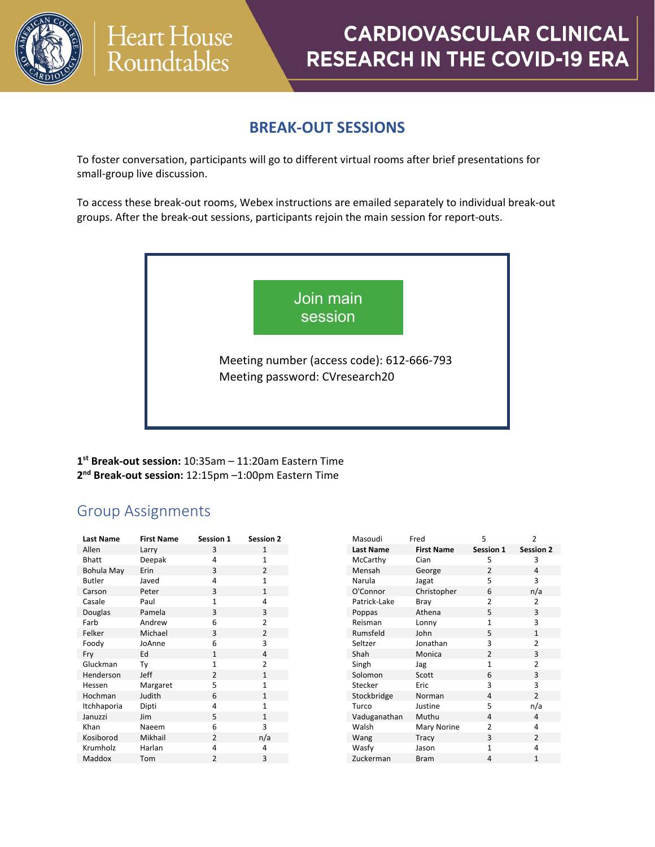

### **BREAK-OUT SESSIONS**

To foster conversation, participants will go to different virtual rooms after brief presentations for small-group live discussion.

To access these break-out rooms, Webex instructions are emailed separately to individual break-out groups. After the break-out sessions, participants rejoin the main session for report-outs.



**1st Break-out session:** 10:35am – 11:20am Eastern Time **2nd Break-out session:** 12:15pm –1:00pm Eastern Time

### Group Assignments

| <b>Last Name</b> | <b>First Name</b> | <b>Session 1</b> | <b>Session 2</b> |
|------------------|-------------------|------------------|------------------|
| Allen            | Larry             | 3                | $\mathbf{1}$     |
| <b>Bhatt</b>     | Deepak            | 4                | $\mathbf{1}$     |
| Bohula May       | Erin              | 3                | $\overline{2}$   |
| <b>Butler</b>    | Javed             | 4                | $\overline{1}$   |
| Carson           | Peter             | 3                | $\mathbf{1}$     |
| Casale           | Paul              | $\mathbf{1}$     | 4                |
| Douglas          | Pamela            | 3                | 3                |
| Farb             | Andrew            | 6                | $\overline{2}$   |
| Felker           | Michael           | 3                | $\overline{2}$   |
| Foody            | JoAnne            | 6                | 3                |
| Fry              | Ed                | $\mathbf{1}$     | 4                |
| Gluckman         | Ty                | $\mathbf{1}$     | $\overline{2}$   |
| Henderson        | Jeff              | $\overline{2}$   | $\mathbf{1}$     |
| Hessen           | Margaret          | 5                | $\mathbf{1}$     |
| Hochman          | Judith            | 6                | $\mathbf{1}$     |
| Itchhaporia      | Dipti             | 4                | $\mathbf{1}$     |
| Januzzi          | Jim               | 5                | $\mathbf{1}$     |
| Khan             | Naeem             | 6                | 3                |
| Kosiborod        | Mikhail           | $\overline{2}$   | n/a              |
| Krumholz         | Harlan            | 4                | 4                |
| Maddox           | Tom               | $\overline{2}$   | 3                |
|                  |                   |                  |                  |

| Masoudi          | Fred              | 5              | 2                |
|------------------|-------------------|----------------|------------------|
| <b>Last Name</b> | <b>First Name</b> | Session 1      | <b>Session 2</b> |
| McCarthy         | Cian              | 5              | 3                |
| Mensah           | George            | $\mathfrak{p}$ | 4                |
| Narula           | Jagat             | 5              | 3                |
| O'Connor         | Christopher       | 6              | n/a              |
| Patrick-Lake     | Bray              | $\mathfrak z$  | $\mathfrak{p}$   |
| Poppas           | Athena            | 5              | 3                |
| Reisman          | Lonny             | $\mathbf{1}$   | 3                |
| Rumsfeld         | John              | 5              | 1                |
| Seltzer          | Jonathan          | 3              | $\mathfrak z$    |
| Shah             | Monica            | $\overline{2}$ | 3                |
| Singh            | Jag               | 1              | $\overline{2}$   |
| Solomon          | Scott             | 6              | 3                |
| Stecker          | Eric              | 3              | 3                |
| Stockbridge      | Norman            | 4              | $\overline{2}$   |
| Turco            | Justine           | 5              | n/a              |
| Vaduganathan     | Muthu             | 4              | 4                |
| Walsh            | Mary Norine       | $\mathfrak z$  | 4                |
| Wang             | Tracy             | 3              | $\mathfrak{p}$   |
| Wasfy            | Jason             | $\mathbf{1}$   | 4                |
| Zuckerman        | <b>Bram</b>       | 4              | $\mathbf{1}$     |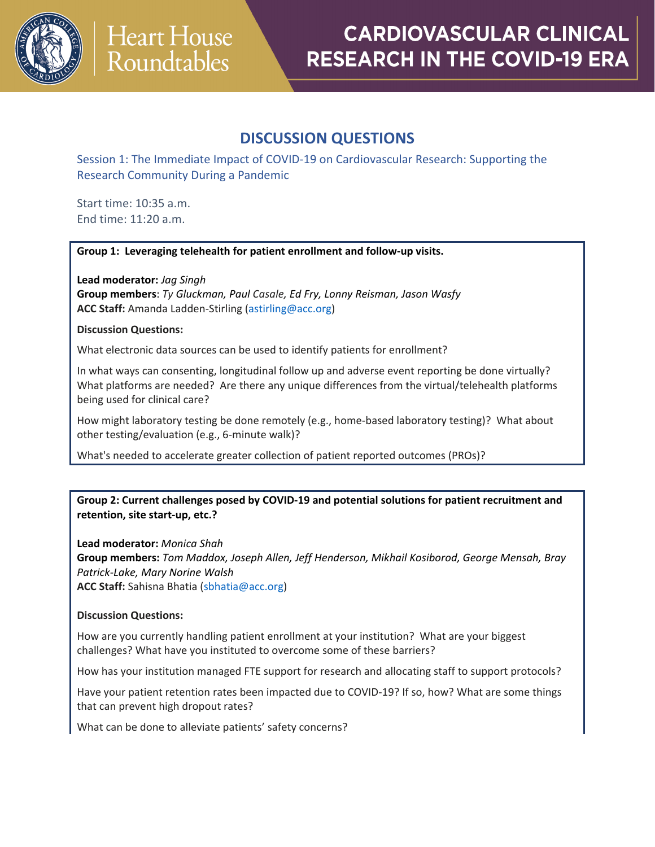

### **DISCUSSION QUESTIONS**

Session 1: The Immediate Impact of COVID-19 on Cardiovascular Research: Supporting the Research Community During a Pandemic

Start time: 10:35 a.m. End time: 11:20 a.m.

#### **Group 1: Leveraging telehealth for patient enrollment and follow-up visits.**

**Lead moderator:** *Jag Singh* **Group members**: *Ty Gluckman, Paul Casale, Ed Fry, Lonny Reisman, Jason Wasfy*  **ACC Staff:** Amanda Ladden-Stirling [\(astirling@acc.org\)](mailto:astirling@acc.org)

#### **Discussion Questions:**

What electronic data sources can be used to identify patients for enrollment?

In what ways can consenting, longitudinal follow up and adverse event reporting be done virtually? What platforms are needed? Are there any unique differences from the virtual/telehealth platforms being used for clinical care?

How might laboratory testing be done remotely (e.g., home-based laboratory testing)? What about other testing/evaluation (e.g., 6-minute walk)?

What's needed to accelerate greater collection of patient reported outcomes (PROs)?

#### **Group 2: Current challenges posed by COVID-19 and potential solutions for patient recruitment and retention, site start-up, etc.?**

**Lead moderator:** *Monica Shah* **Group members:** *Tom Maddox, Joseph Allen, Jeff Henderson, Mikhail Kosiborod, George Mensah, Bray Patrick-Lake, Mary Norine Walsh* **ACC Staff:** Sahisna Bhatia [\(sbhatia@acc.org\)](mailto:sbhatia@acc.org)

#### **Discussion Questions:**

How are you currently handling patient enrollment at your institution? What are your biggest challenges? What have you instituted to overcome some of these barriers?

How has your institution managed FTE support for research and allocating staff to support protocols?

Have your patient retention rates been impacted due to COVID-19? If so, how? What are some things that can prevent high dropout rates?

What can be done to alleviate patients' safety concerns?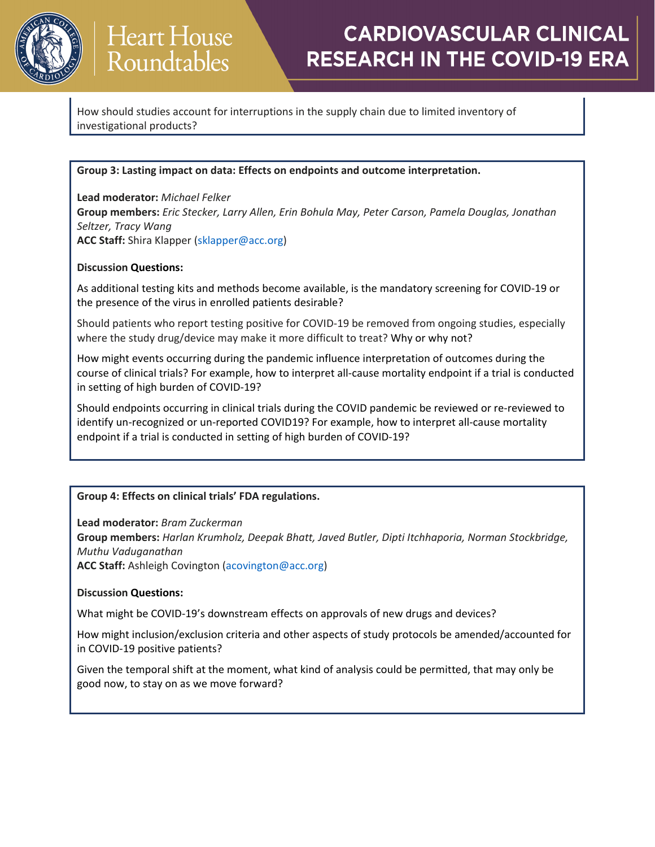

How should studies account for interruptions in the supply chain due to limited inventory of investigational products?

#### **Group 3: Lasting impact on data: Effects on endpoints and outcome interpretation.**

**Lead moderator:** *Michael Felker* **Group members:** *Eric Stecker, Larry Allen, Erin Bohula May, Peter Carson, Pamela Douglas, Jonathan Seltzer, Tracy Wang* **ACC Staff:** Shira Klapper [\(sklapper@acc.org\)](mailto:sklapper@acc.org)

#### **Discussion Questions:**

As additional testing kits and methods become available, is the mandatory screening for COVID-19 or the presence of the virus in enrolled patients desirable?

Should patients who report testing positive for COVID-19 be removed from ongoing studies, especially where the study drug/device may make it more difficult to treat? Why or why not?

How might events occurring during the pandemic influence interpretation of outcomes during the course of clinical trials? For example, how to interpret all-cause mortality endpoint if a trial is conducted in setting of high burden of COVID-19?

Should endpoints occurring in clinical trials during the COVID pandemic be reviewed or re-reviewed to identify un-recognized or un-reported COVID19? For example, how to interpret all-cause mortality endpoint if a trial is conducted in setting of high burden of COVID-19?

#### **Group 4: Effects on clinical trials' FDA regulations.**

**Lead moderator:** *Bram Zuckerman*

**Group members:** *Harlan Krumholz, Deepak Bhatt, Javed Butler, Dipti Itchhaporia, Norman Stockbridge, Muthu Vaduganathan*

**ACC Staff:** Ashleigh Covington [\(acovington@acc.org\)](mailto:acovington@acc.org)

#### **Discussion Questions:**

What might be COVID-19's downstream effects on approvals of new drugs and devices?

How might inclusion/exclusion criteria and other aspects of study protocols be amended/accounted for in COVID-19 positive patients?

Given the temporal shift at the moment, what kind of analysis could be permitted, that may only be good now, to stay on as we move forward?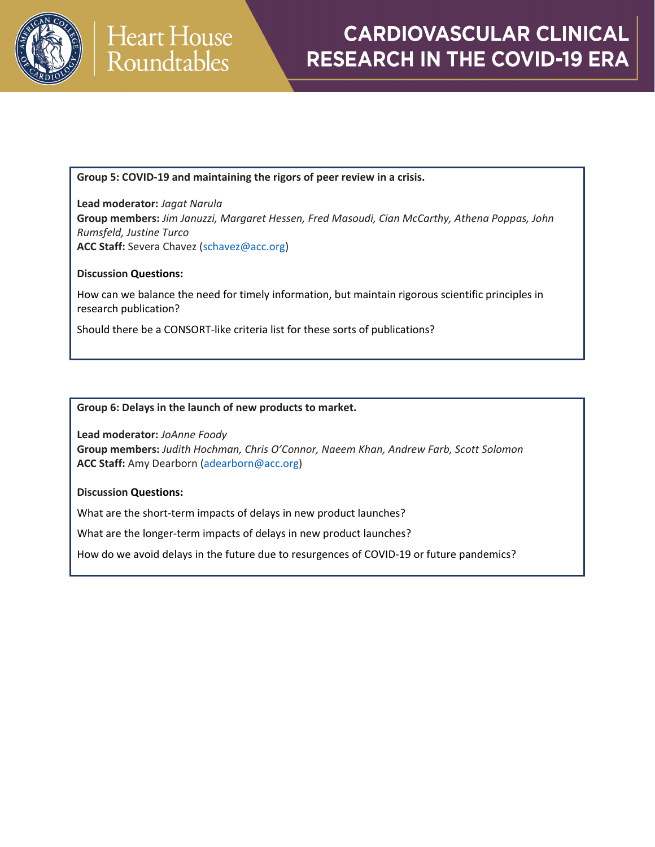

**Group 5: COVID-19 and maintaining the rigors of peer review in a crisis.**

**Lead moderator:** *Jagat Narula* **Group members:** *Jim Januzzi, Margaret Hessen, Fred Masoudi, Cian McCarthy, Athena Poppas, John Rumsfeld, Justine Turco* **ACC Staff:** Severa Chavez [\(schavez@acc.org\)](mailto:schavez@acc.org)

#### **Discussion Questions:**

How can we balance the need for timely information, but maintain rigorous scientific principles in research publication?

Should there be a CONSORT-like criteria list for these sorts of publications?

#### **Group 6: Delays in the launch of new products to market.**

**Lead moderator:** *JoAnne Foody* **Group members:** *Judith Hochman, Chris O'Connor, Naeem Khan, Andrew Farb, Scott Solomon* **ACC Staff:** Amy Dearborn [\(adearborn@acc.org\)](mailto:adearborn@acc.org)

#### **Discussion Questions:**

What are the short-term impacts of delays in new product launches?

What are the longer-term impacts of delays in new product launches?

How do we avoid delays in the future due to resurgences of COVID-19 or future pandemics?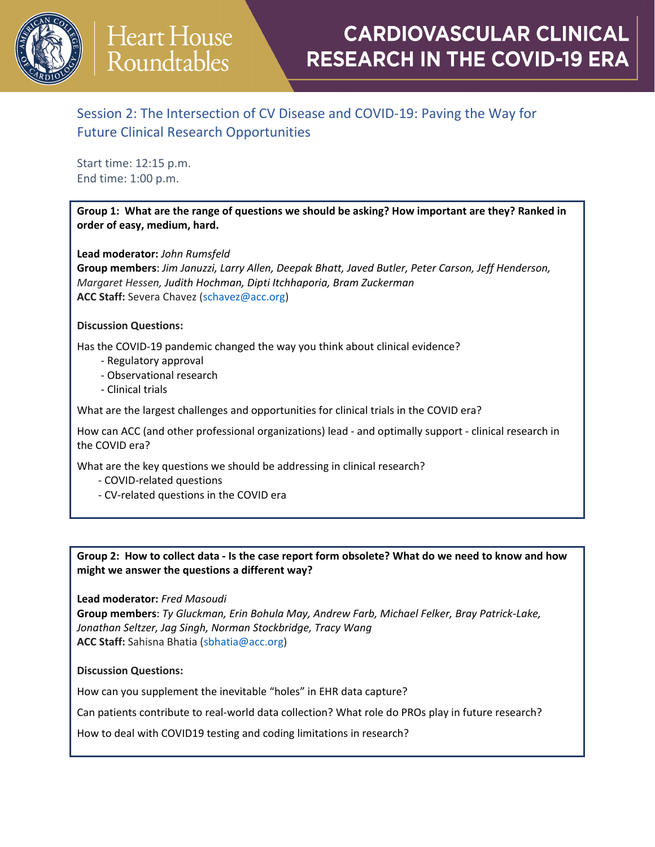

# **Heart House** Roundtables

## **CARDIOVASCULAR CLINICAL RESEARCH IN THE COVID-19 ERA**

### Session 2: The Intersection of CV Disease and COVID-19: Paving the Way for Future Clinical Research Opportunities

Start time: 12:15 p.m. End time: 1:00 p.m.

**Group 1: What are the range of questions we should be asking? How important are they? Ranked in order of easy, medium, hard.**

**Lead moderator:** *John Rumsfeld*

**Group members**: *Jim Januzzi, Larry Allen, Deepak Bhatt, Javed Butler, Peter Carson, Jeff Henderson, Margaret Hessen, Judith Hochman, Dipti Itchhaporia, Bram Zuckerman* **ACC Staff:** Severa Chavez [\(schavez@acc.org\)](mailto:schavez@acc.org)

#### **Discussion Questions:**

Has the COVID-19 pandemic changed the way you think about clinical evidence?

- Regulatory approval
- Observational research
- Clinical trials

What are the largest challenges and opportunities for clinical trials in the COVID era?

How can ACC (and other professional organizations) lead - and optimally support - clinical research in the COVID era?

What are the key questions we should be addressing in clinical research?

- COVID-related questions
- CV-related questions in the COVID era

#### Group 2: How to collect data - Is the case report form obsolete? What do we need to know and how **might we answer the questions a different way?**

#### **Lead moderator:** *Fred Masoudi*

**Group members**: *Ty Gluckman, Erin Bohula May, Andrew Farb, Michael Felker, Bray Patrick-Lake, Jonathan Seltzer, Jag Singh, Norman Stockbridge, Tracy Wang* **ACC Staff:** Sahisna Bhatia [\(sbhatia@acc.org\)](mailto:sbhatia@acc.org)

#### **Discussion Questions:**

How can you supplement the inevitable "holes" in EHR data capture?

Can patients contribute to real-world data collection? What role do PROs play in future research?

How to deal with COVID19 testing and coding limitations in research?